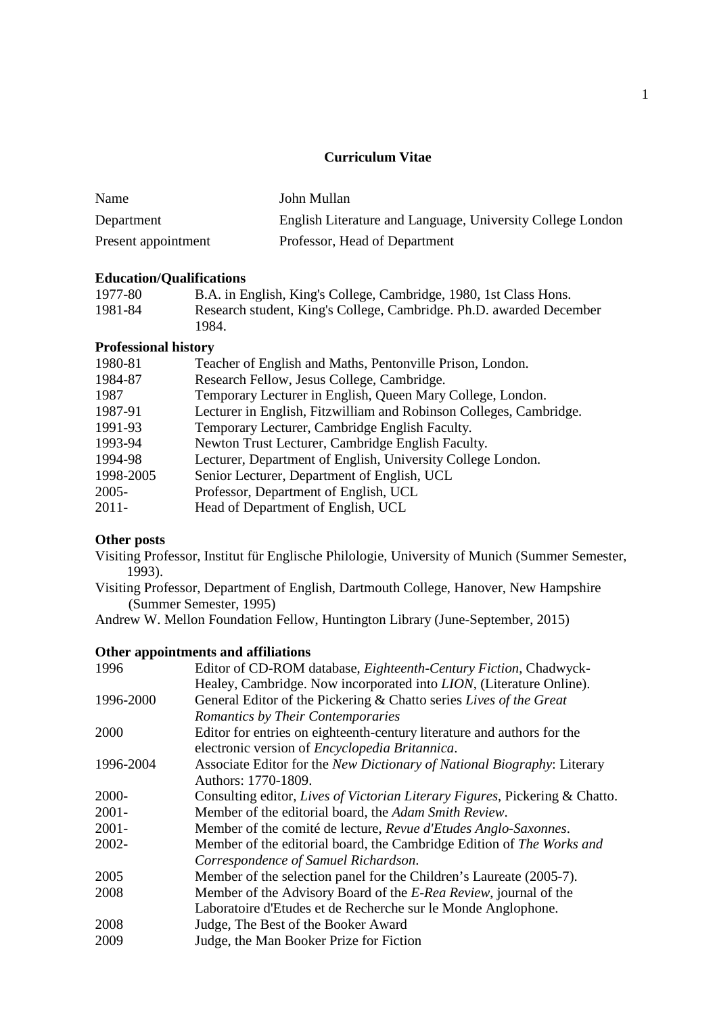# **Curriculum Vitae**

| Name                | John Mullan                                                |
|---------------------|------------------------------------------------------------|
| Department          | English Literature and Language, University College London |
| Present appointment | Professor, Head of Department                              |

### **Education/Qualifications**

| 1977-80 | B.A. in English, King's College, Cambridge, 1980, 1st Class Hons.   |
|---------|---------------------------------------------------------------------|
| 1981-84 | Research student, King's College, Cambridge. Ph.D. awarded December |
|         | 1984.                                                               |

### **Professional history**

| 1980-81   | Teacher of English and Maths, Pentonville Prison, London.          |
|-----------|--------------------------------------------------------------------|
| 1984-87   | Research Fellow, Jesus College, Cambridge.                         |
| 1987      | Temporary Lecturer in English, Queen Mary College, London.         |
| 1987-91   | Lecturer in English, Fitzwilliam and Robinson Colleges, Cambridge. |
| 1991-93   | Temporary Lecturer, Cambridge English Faculty.                     |
| 1993-94   | Newton Trust Lecturer, Cambridge English Faculty.                  |
| 1994-98   | Lecturer, Department of English, University College London.        |
| 1998-2005 | Senior Lecturer, Department of English, UCL                        |
| $2005 -$  | Professor, Department of English, UCL                              |
| $2011 -$  | Head of Department of English, UCL                                 |

# **Other posts**

Visiting Professor, Institut für Englische Philologie, University of Munich (Summer Semester, 1993).

Visiting Professor, Department of English, Dartmouth College, Hanover, New Hampshire (Summer Semester, 1995)

Andrew W. Mellon Foundation Fellow, Huntington Library (June-September, 2015)

#### **Other appointments and affiliations**

| 1996      | Editor of CD-ROM database, <i>Eighteenth-Century Fiction</i> , Chadwyck-    |
|-----------|-----------------------------------------------------------------------------|
|           | Healey, Cambridge. Now incorporated into <i>LION</i> , (Literature Online). |
| 1996-2000 | General Editor of the Pickering & Chatto series Lives of the Great          |
|           | Romantics by Their Contemporaries                                           |
| 2000      | Editor for entries on eighteenth-century literature and authors for the     |
|           | electronic version of Encyclopedia Britannica.                              |
| 1996-2004 | Associate Editor for the New Dictionary of National Biography: Literary     |
|           | Authors: 1770-1809.                                                         |
| 2000-     | Consulting editor, Lives of Victorian Literary Figures, Pickering & Chatto. |
| $2001 -$  | Member of the editorial board, the Adam Smith Review.                       |
| $2001 -$  | Member of the comité de lecture, Revue d'Etudes Anglo-Saxonnes.             |
| 2002-     | Member of the editorial board, the Cambridge Edition of The Works and       |
|           | Correspondence of Samuel Richardson.                                        |
| 2005      | Member of the selection panel for the Children's Laureate (2005-7).         |
| 2008      | Member of the Advisory Board of the E-Rea Review, journal of the            |
|           | Laboratoire d'Etudes et de Recherche sur le Monde Anglophone.               |
| 2008      | Judge, The Best of the Booker Award                                         |
| 2009      | Judge, the Man Booker Prize for Fiction                                     |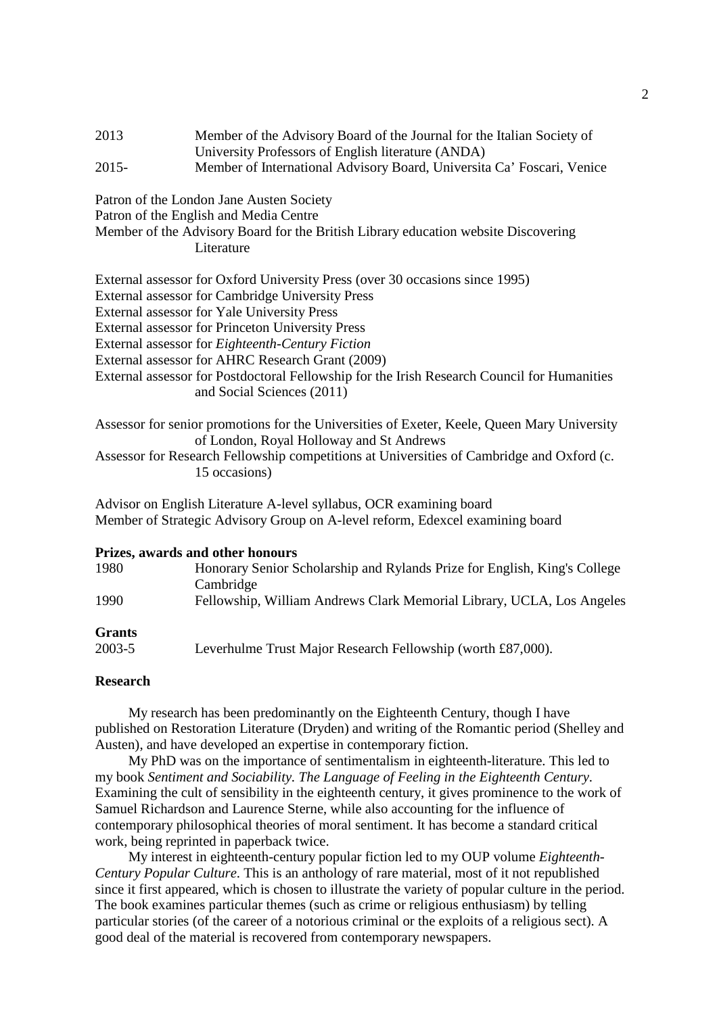| 2013                     | Member of the Advisory Board of the Journal for the Italian Society of                                                                                                                                                                                                                          |
|--------------------------|-------------------------------------------------------------------------------------------------------------------------------------------------------------------------------------------------------------------------------------------------------------------------------------------------|
|                          | University Professors of English literature (ANDA)                                                                                                                                                                                                                                              |
| $\bigcap_{n=1}^{\infty}$ | $\mathbf{M}$ if $\mathbf{M}$ is the contract of $\mathbf{M}$ if $\mathbf{M}$ if $\mathbf{M}$ if $\mathbf{M}$ if $\mathbf{M}$ if $\mathbf{M}$ if $\mathbf{M}$ if $\mathbf{M}$ if $\mathbf{M}$ if $\mathbf{M}$ if $\mathbf{M}$ if $\mathbf{M}$ if $\mathbf{M}$ if $\mathbf{M}$ if $\mathbf{M}$ if |

| $2015 -$<br>Member of International Advisory Board, Universita Ca' Foscari, Venice |  |
|------------------------------------------------------------------------------------|--|
|------------------------------------------------------------------------------------|--|

Patron of the London Jane Austen Society

Patron of the English and Media Centre

| Member of the Advisory Board for the British Library education website Discovering |  |  |
|------------------------------------------------------------------------------------|--|--|
| Literature                                                                         |  |  |

External assessor for Oxford University Press (over 30 occasions since 1995)

External assessor for Cambridge University Press

External assessor for Yale University Press

External assessor for Princeton University Press

- External assessor for *Eighteenth-Century Fiction*
- External assessor for AHRC Research Grant (2009)
- External assessor for Postdoctoral Fellowship for the Irish Research Council for Humanities and Social Sciences (2011)

Assessor for senior promotions for the Universities of Exeter, Keele, Queen Mary University of London, Royal Holloway and St Andrews

Assessor for Research Fellowship competitions at Universities of Cambridge and Oxford (c. 15 occasions)

Advisor on English Literature A-level syllabus, OCR examining board Member of Strategic Advisory Group on A-level reform, Edexcel examining board

#### **Prizes, awards and other honours**

| 1980          | Honorary Senior Scholarship and Rylands Prize for English, King's College |  |  |
|---------------|---------------------------------------------------------------------------|--|--|
|               | Cambridge                                                                 |  |  |
| 1990          | Fellowship, William Andrews Clark Memorial Library, UCLA, Los Angeles     |  |  |
| <b>Grants</b> |                                                                           |  |  |
| 2003-5        | Leverhulme Trust Major Research Fellowship (worth £87,000).               |  |  |

#### **Research**

My research has been predominantly on the Eighteenth Century, though I have published on Restoration Literature (Dryden) and writing of the Romantic period (Shelley and Austen), and have developed an expertise in contemporary fiction.

 My PhD was on the importance of sentimentalism in eighteenth-literature. This led to my book *Sentiment and Sociability. The Language of Feeling in the Eighteenth Century*. Examining the cult of sensibility in the eighteenth century, it gives prominence to the work of Samuel Richardson and Laurence Sterne, while also accounting for the influence of contemporary philosophical theories of moral sentiment. It has become a standard critical work, being reprinted in paperback twice.

 My interest in eighteenth-century popular fiction led to my OUP volume *Eighteenth-Century Popular Culture*. This is an anthology of rare material, most of it not republished since it first appeared, which is chosen to illustrate the variety of popular culture in the period. The book examines particular themes (such as crime or religious enthusiasm) by telling particular stories (of the career of a notorious criminal or the exploits of a religious sect). A good deal of the material is recovered from contemporary newspapers.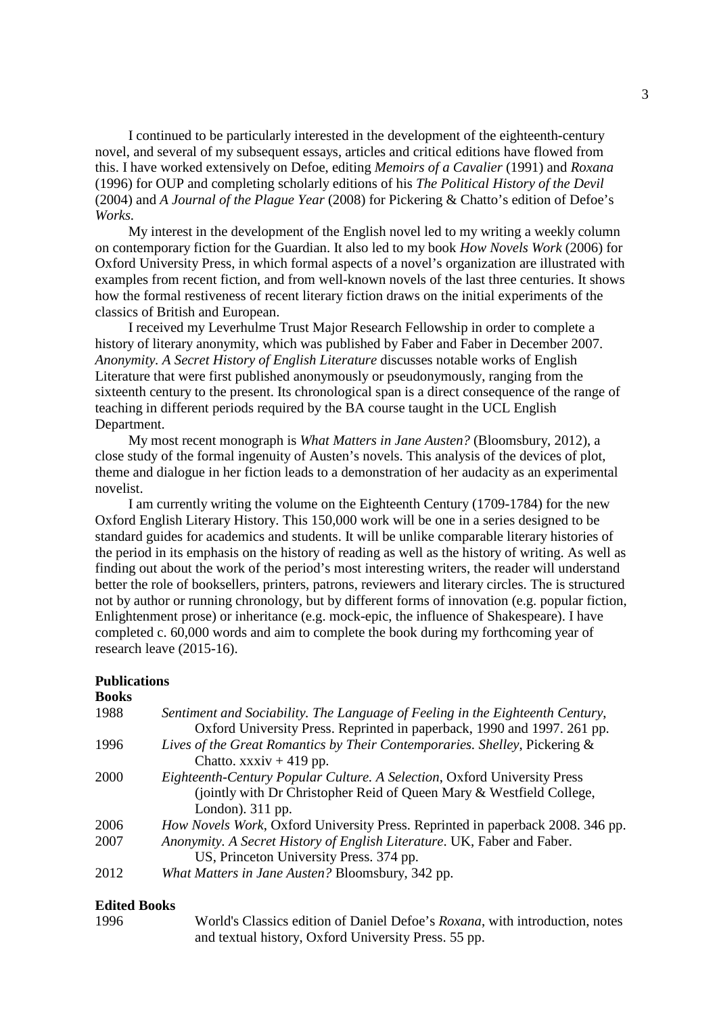I continued to be particularly interested in the development of the eighteenth-century novel, and several of my subsequent essays, articles and critical editions have flowed from this. I have worked extensively on Defoe, editing *Memoirs of a Cavalier* (1991) and *Roxana* (1996) for OUP and completing scholarly editions of his *The Political History of the Devil* (2004) and *A Journal of the Plague Year* (2008) for Pickering & Chatto's edition of Defoe's *Works.*

 My interest in the development of the English novel led to my writing a weekly column on contemporary fiction for the Guardian. It also led to my book *How Novels Work* (2006) for Oxford University Press, in which formal aspects of a novel's organization are illustrated with examples from recent fiction, and from well-known novels of the last three centuries. It shows how the formal restiveness of recent literary fiction draws on the initial experiments of the classics of British and European.

 I received my Leverhulme Trust Major Research Fellowship in order to complete a history of literary anonymity, which was published by Faber and Faber in December 2007. *Anonymity. A Secret History of English Literature* discusses notable works of English Literature that were first published anonymously or pseudonymously, ranging from the sixteenth century to the present. Its chronological span is a direct consequence of the range of teaching in different periods required by the BA course taught in the UCL English Department.

 My most recent monograph is *What Matters in Jane Austen?* (Bloomsbury, 2012), a close study of the formal ingenuity of Austen's novels. This analysis of the devices of plot, theme and dialogue in her fiction leads to a demonstration of her audacity as an experimental novelist.

 I am currently writing the volume on the Eighteenth Century (1709-1784) for the new Oxford English Literary History. This 150,000 work will be one in a series designed to be standard guides for academics and students. It will be unlike comparable literary histories of the period in its emphasis on the history of reading as well as the history of writing. As well as finding out about the work of the period's most interesting writers, the reader will understand better the role of booksellers, printers, patrons, reviewers and literary circles. The is structured not by author or running chronology, but by different forms of innovation (e.g. popular fiction, Enlightenment prose) or inheritance (e.g. mock-epic, the influence of Shakespeare). I have completed c. 60,000 words and aim to complete the book during my forthcoming year of research leave (2015-16).

#### **Publications**

| <b>Books</b> |                                                                                                                                                                               |
|--------------|-------------------------------------------------------------------------------------------------------------------------------------------------------------------------------|
| 1988         | Sentiment and Sociability. The Language of Feeling in the Eighteenth Century,<br>Oxford University Press. Reprinted in paperback, 1990 and 1997. 261 pp.                      |
| 1996         | Lives of the Great Romantics by Their Contemporaries. Shelley, Pickering &<br>Chatto. $xxxiv + 419$ pp.                                                                       |
| 2000         | <i>Eighteenth-Century Popular Culture. A Selection, Oxford University Press</i><br>(jointly with Dr Christopher Reid of Queen Mary & Westfield College,<br>London). $311$ pp. |
| 2006         | <i>How Novels Work</i> , Oxford University Press. Reprinted in paperback 2008. 346 pp.                                                                                        |
| 2007         | Anonymity. A Secret History of English Literature. UK, Faber and Faber.<br>US, Princeton University Press. 374 pp.                                                            |
| 2012         | What Matters in Jane Austen? Bloomsbury, 342 pp.                                                                                                                              |

#### **Edited Books**

1996 World's Classics edition of Daniel Defoe's *Roxana*, with introduction, notes and textual history, Oxford University Press. 55 pp.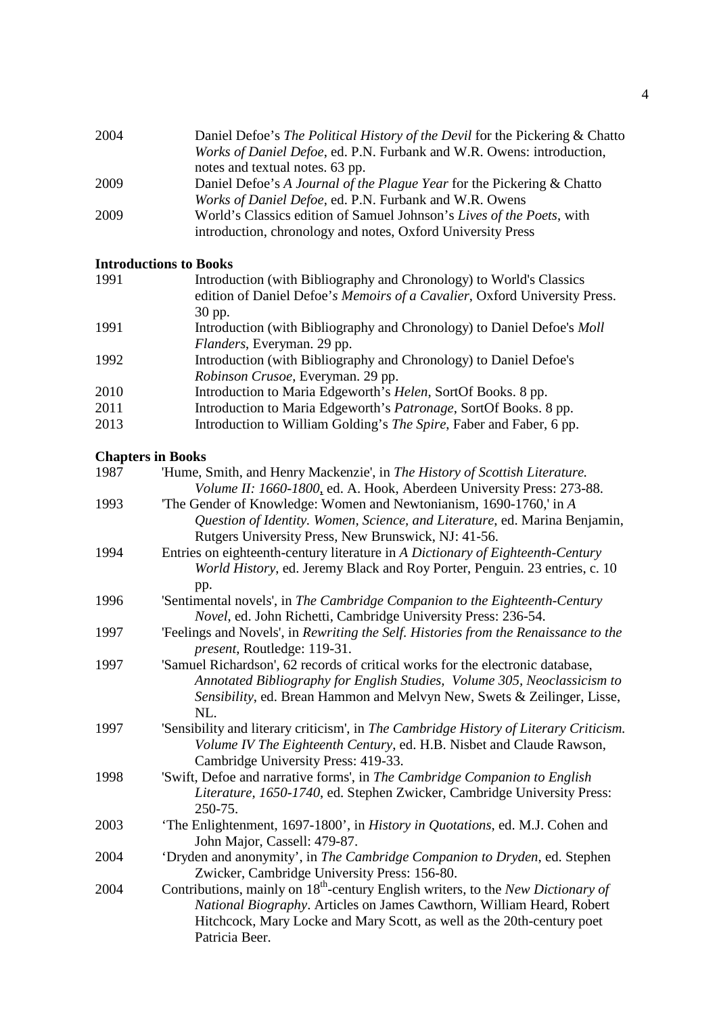| 2004 | Daniel Defoe's The Political History of the Devil for the Pickering & Chatto |
|------|------------------------------------------------------------------------------|
|      | Works of Daniel Defoe, ed. P.N. Furbank and W.R. Owens: introduction,        |
|      | notes and textual notes. 63 pp.                                              |
| 2009 | Daniel Defoe's A Journal of the Plague Year for the Pickering & Chatto       |
|      | Works of Daniel Defoe, ed. P.N. Furbank and W.R. Owens                       |
| 2009 | World's Classics edition of Samuel Johnson's Lives of the Poets, with        |
|      | introduction, chronology and notes, Oxford University Press                  |

# **Introductions to Books**

| 1991 | Introduction (with Bibliography and Chronology) to World's Classics           |
|------|-------------------------------------------------------------------------------|
|      | edition of Daniel Defoe's Memoirs of a Cavalier, Oxford University Press.     |
|      | 30 pp.                                                                        |
| 1991 | Introduction (with Bibliography and Chronology) to Daniel Defoe's <i>Moll</i> |
|      | Flanders, Everyman. 29 pp.                                                    |
| 1992 | Introduction (with Bibliography and Chronology) to Daniel Defoe's             |
|      | Robinson Crusoe, Everyman. 29 pp.                                             |
| 2010 | Introduction to Maria Edgeworth's Helen, SortOf Books. 8 pp.                  |
| 2011 | Introduction to Maria Edgeworth's Patronage, SortOf Books. 8 pp.              |
| 2013 | Introduction to William Golding's The Spire, Faber and Faber, 6 pp.           |
|      |                                                                               |

# **Chapters in Books**

| 1987 | 'Hume, Smith, and Henry Mackenzie', in The History of Scottish Literature.                                                                                                                                                                                        |
|------|-------------------------------------------------------------------------------------------------------------------------------------------------------------------------------------------------------------------------------------------------------------------|
|      | Volume II: 1660-1800, ed. A. Hook, Aberdeen University Press: 273-88.                                                                                                                                                                                             |
| 1993 | The Gender of Knowledge: Women and Newtonianism, 1690-1760,' in A                                                                                                                                                                                                 |
|      | Question of Identity. Women, Science, and Literature, ed. Marina Benjamin,                                                                                                                                                                                        |
|      | Rutgers University Press, New Brunswick, NJ: 41-56.                                                                                                                                                                                                               |
| 1994 | Entries on eighteenth-century literature in A Dictionary of Eighteenth-Century                                                                                                                                                                                    |
|      | World History, ed. Jeremy Black and Roy Porter, Penguin. 23 entries, c. 10                                                                                                                                                                                        |
|      | pp.                                                                                                                                                                                                                                                               |
| 1996 | 'Sentimental novels', in The Cambridge Companion to the Eighteenth-Century                                                                                                                                                                                        |
|      | Novel, ed. John Richetti, Cambridge University Press: 236-54.                                                                                                                                                                                                     |
| 1997 | 'Feelings and Novels', in Rewriting the Self. Histories from the Renaissance to the<br>present, Routledge: 119-31.                                                                                                                                                |
| 1997 | 'Samuel Richardson', 62 records of critical works for the electronic database,                                                                                                                                                                                    |
|      | Annotated Bibliography for English Studies, Volume 305, Neoclassicism to<br>Sensibility, ed. Brean Hammon and Melvyn New, Swets & Zeilinger, Lisse,                                                                                                               |
|      | NL.                                                                                                                                                                                                                                                               |
| 1997 | 'Sensibility and literary criticism', in The Cambridge History of Literary Criticism.<br>Volume IV The Eighteenth Century, ed. H.B. Nisbet and Claude Rawson,                                                                                                     |
| 1998 | Cambridge University Press: 419-33.                                                                                                                                                                                                                               |
|      | 'Swift, Defoe and narrative forms', in The Cambridge Companion to English<br>Literature, 1650-1740, ed. Stephen Zwicker, Cambridge University Press:                                                                                                              |
|      | 250-75.                                                                                                                                                                                                                                                           |
| 2003 | 'The Enlightenment, 1697-1800', in History in Quotations, ed. M.J. Cohen and<br>John Major, Cassell: 479-87.                                                                                                                                                      |
| 2004 | 'Dryden and anonymity', in The Cambridge Companion to Dryden, ed. Stephen<br>Zwicker, Cambridge University Press: 156-80.                                                                                                                                         |
| 2004 | Contributions, mainly on $18^{th}$ -century English writers, to the <i>New Dictionary of</i><br>National Biography. Articles on James Cawthorn, William Heard, Robert<br>Hitchcock, Mary Locke and Mary Scott, as well as the 20th-century poet<br>Patricia Beer. |
|      |                                                                                                                                                                                                                                                                   |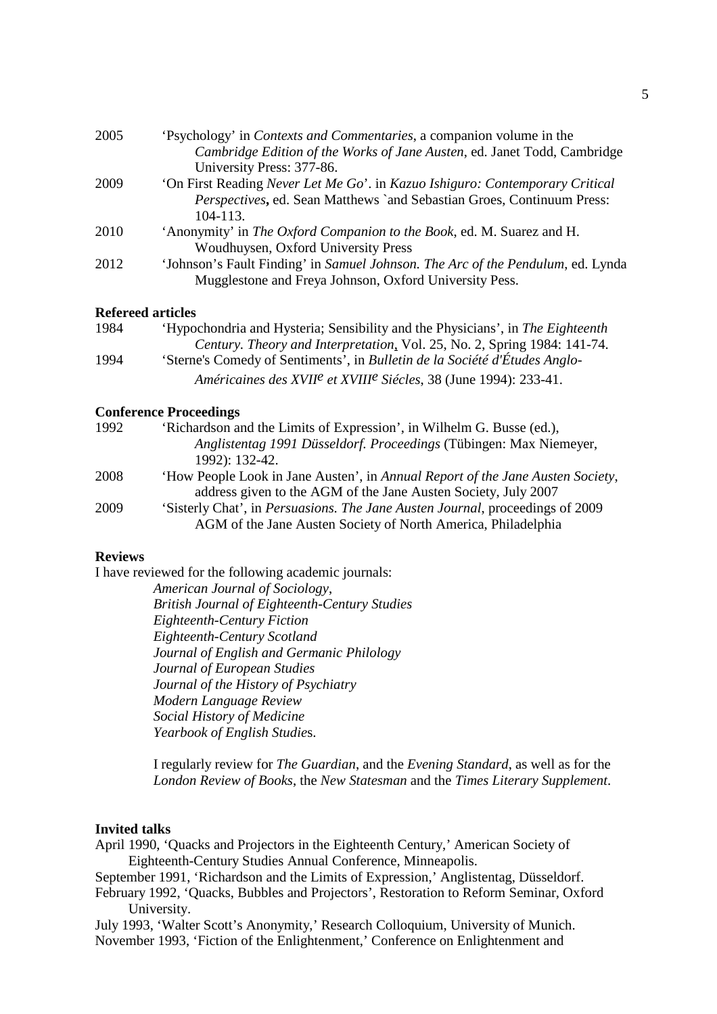| 2005 | 'Psychology' in <i>Contexts and Commentaries</i> , a companion volume in the    |
|------|---------------------------------------------------------------------------------|
|      | Cambridge Edition of the Works of Jane Austen, ed. Janet Todd, Cambridge        |
|      | University Press: 377-86.                                                       |
| 2009 | 'On First Reading Never Let Me Go'. in Kazuo Ishiguro: Contemporary Critical    |
|      | Perspectives, ed. Sean Matthews `and Sebastian Groes, Continuum Press:          |
|      | $104 - 113.$                                                                    |
| 2010 | 'Anonymity' in The Oxford Companion to the Book, ed. M. Suarez and H.           |
|      | Woudhuysen, Oxford University Press                                             |
| 2012 | 'Johnson's Fault Finding' in Samuel Johnson. The Arc of the Pendulum, ed. Lynda |
|      | Mugglestone and Freya Johnson, Oxford University Pess.                          |
|      |                                                                                 |

#### **Refereed articles**

| 1984 | 'Hypochondria and Hysteria; Sensibility and the Physicians', in The Eighteenth           |
|------|------------------------------------------------------------------------------------------|
|      | Century. Theory and Interpretation, Vol. 25, No. 2, Spring 1984: 141-74.                 |
| 1994 | 'Sterne's Comedy of Sentiments', in Bulletin de la Société d'Études Anglo-               |
|      | Américaines des XVII <sup>e</sup> et XVIII <sup>e</sup> Siécles, 38 (June 1994): 233-41. |

#### **Conference Proceedings**

| 'Richardson and the Limits of Expression', in Wilhelm G. Busse (ed.),                 |
|---------------------------------------------------------------------------------------|
| Anglistentag 1991 Düsseldorf. Proceedings (Tübingen: Max Niemeyer,                    |
| 1992): 132-42.                                                                        |
| 'How People Look in Jane Austen', in Annual Report of the Jane Austen Society,        |
| address given to the AGM of the Jane Austen Society, July 2007                        |
| 'Sisterly Chat', in <i>Persuasions. The Jane Austen Journal</i> , proceedings of 2009 |
| AGM of the Jane Austen Society of North America, Philadelphia                         |
|                                                                                       |

#### **Reviews**

I have reviewed for the following academic journals:

*American Journal of Sociology*, *British Journal of Eighteenth-Century Studies Eighteenth-Century Fiction Eighteenth-Century Scotland Journal of English and Germanic Philology Journal of European Studies Journal of the History of Psychiatry Modern Language Review Social History of Medicine Yearbook of English Studie*s.

I regularly review for *The Guardian*, and the *Evening Standard*, as well as for the *London Review of Books*, the *New Statesman* and the *Times Literary Supplement*.

#### **Invited talks**

- April 1990, 'Quacks and Projectors in the Eighteenth Century,' American Society of Eighteenth-Century Studies Annual Conference, Minneapolis.
- September 1991, 'Richardson and the Limits of Expression,' Anglistentag, Düsseldorf.
- February 1992, 'Quacks, Bubbles and Projectors', Restoration to Reform Seminar, Oxford University.

July 1993, 'Walter Scott's Anonymity,' Research Colloquium, University of Munich. November 1993, 'Fiction of the Enlightenment,' Conference on Enlightenment and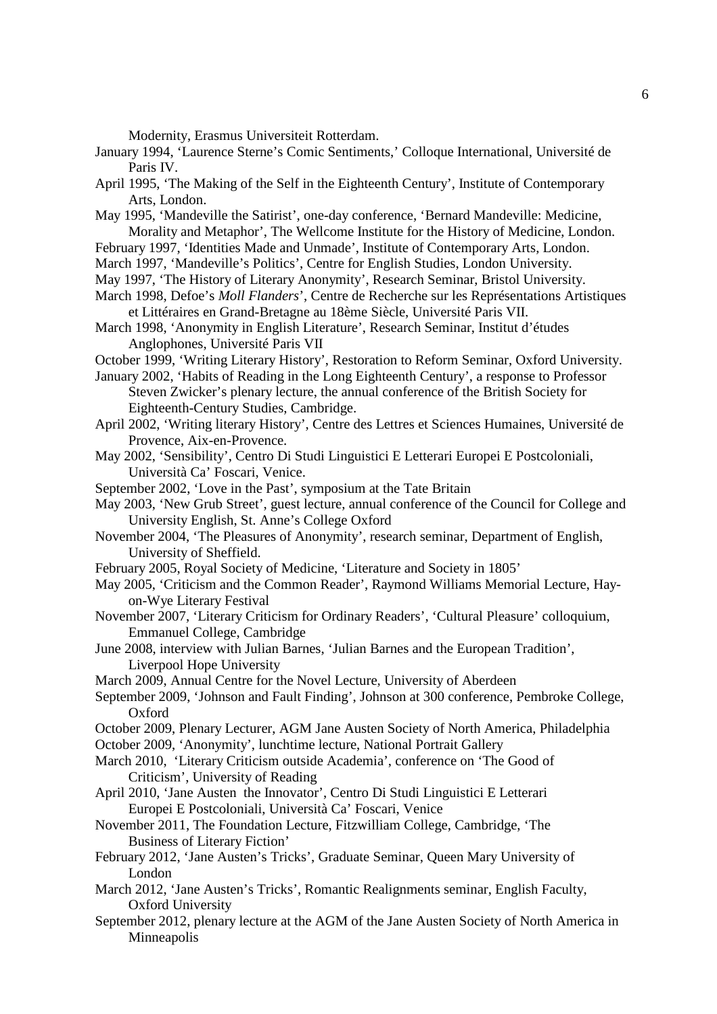Modernity, Erasmus Universiteit Rotterdam.

- January 1994, 'Laurence Sterne's Comic Sentiments,' Colloque International, Université de Paris IV.
- April 1995, 'The Making of the Self in the Eighteenth Century', Institute of Contemporary Arts, London.
- May 1995, 'Mandeville the Satirist', one-day conference, 'Bernard Mandeville: Medicine, Morality and Metaphor', The Wellcome Institute for the History of Medicine, London.
- February 1997, 'Identities Made and Unmade', Institute of Contemporary Arts, London.
- March 1997, 'Mandeville's Politics', Centre for English Studies, London University.
- May 1997, 'The History of Literary Anonymity', Research Seminar, Bristol University.
- March 1998, Defoe's *Moll Flanders*', Centre de Recherche sur les Représentations Artistiques et Littéraires en Grand-Bretagne au 18ème Siècle, Université Paris VII.
- March 1998, 'Anonymity in English Literature', Research Seminar, Institut d'études Anglophones, Université Paris VII
- October 1999, 'Writing Literary History', Restoration to Reform Seminar, Oxford University.
- January 2002, 'Habits of Reading in the Long Eighteenth Century', a response to Professor Steven Zwicker's plenary lecture, the annual conference of the British Society for Eighteenth-Century Studies, Cambridge.
- April 2002, 'Writing literary History', Centre des Lettres et Sciences Humaines, Université de Provence, Aix-en-Provence.
- May 2002, 'Sensibility', Centro Di Studi Linguistici E Letterari Europei E Postcoloniali, Università Ca' Foscari, Venice.
- September 2002, 'Love in the Past', symposium at the Tate Britain
- May 2003, 'New Grub Street', guest lecture, annual conference of the Council for College and University English, St. Anne's College Oxford
- November 2004, 'The Pleasures of Anonymity', research seminar, Department of English, University of Sheffield.
- February 2005, Royal Society of Medicine, 'Literature and Society in 1805'
- May 2005, 'Criticism and the Common Reader', Raymond Williams Memorial Lecture, Hayon-Wye Literary Festival
- November 2007, 'Literary Criticism for Ordinary Readers', 'Cultural Pleasure' colloquium, Emmanuel College, Cambridge
- June 2008, interview with Julian Barnes, 'Julian Barnes and the European Tradition', Liverpool Hope University
- March 2009, Annual Centre for the Novel Lecture, University of Aberdeen
- September 2009, 'Johnson and Fault Finding', Johnson at 300 conference, Pembroke College, Oxford
- October 2009, Plenary Lecturer, AGM Jane Austen Society of North America, Philadelphia
- October 2009, 'Anonymity', lunchtime lecture, National Portrait Gallery
- March 2010, 'Literary Criticism outside Academia', conference on 'The Good of Criticism', University of Reading
- April 2010, 'Jane Austen the Innovator', Centro Di Studi Linguistici E Letterari Europei E Postcoloniali, Università Ca' Foscari, Venice
- November 2011, The Foundation Lecture, Fitzwilliam College, Cambridge, 'The Business of Literary Fiction'
- February 2012, 'Jane Austen's Tricks', Graduate Seminar, Queen Mary University of London
- March 2012, 'Jane Austen's Tricks', Romantic Realignments seminar, English Faculty, Oxford University
- September 2012, plenary lecture at the AGM of the Jane Austen Society of North America in Minneapolis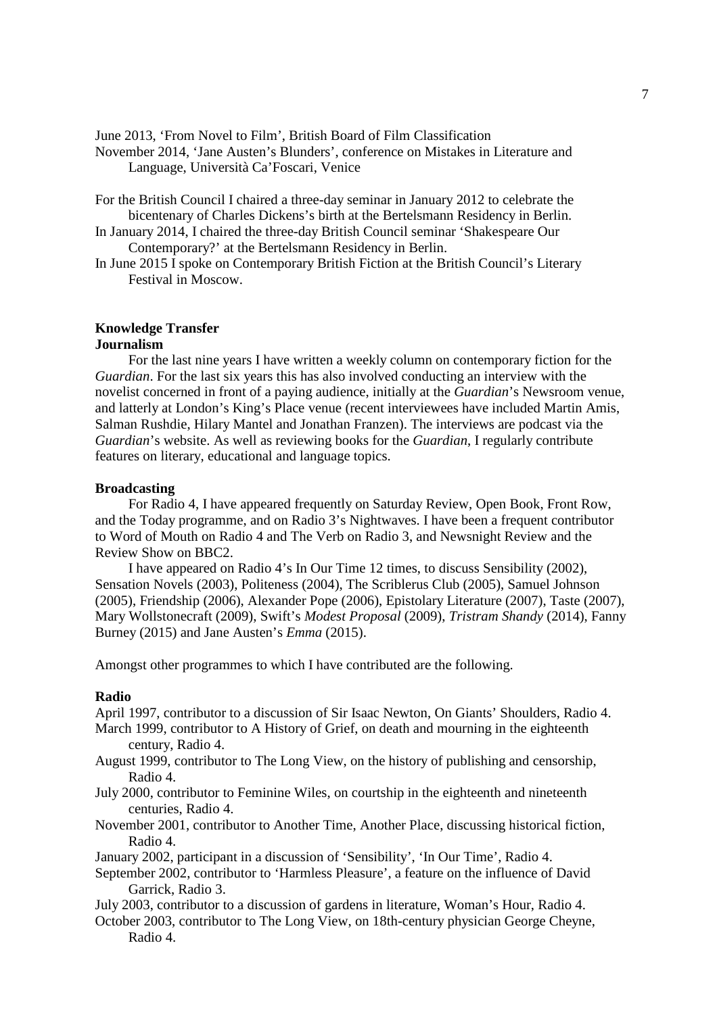June 2013, 'From Novel to Film', British Board of Film Classification

November 2014, 'Jane Austen's Blunders', conference on Mistakes in Literature and Language, Università Ca'Foscari, Venice

- For the British Council I chaired a three-day seminar in January 2012 to celebrate the bicentenary of Charles Dickens's birth at the Bertelsmann Residency in Berlin.
- In January 2014, I chaired the three-day British Council seminar 'Shakespeare Our Contemporary?' at the Bertelsmann Residency in Berlin.
- In June 2015 I spoke on Contemporary British Fiction at the British Council's Literary Festival in Moscow.

#### **Knowledge Transfer Journalism**

 For the last nine years I have written a weekly column on contemporary fiction for the *Guardian*. For the last six years this has also involved conducting an interview with the novelist concerned in front of a paying audience, initially at the *Guardian*'s Newsroom venue, and latterly at London's King's Place venue (recent interviewees have included Martin Amis, Salman Rushdie, Hilary Mantel and Jonathan Franzen). The interviews are podcast via the *Guardian*'s website. As well as reviewing books for the *Guardian*, I regularly contribute features on literary, educational and language topics.

## **Broadcasting**

 For Radio 4, I have appeared frequently on Saturday Review, Open Book, Front Row, and the Today programme, and on Radio 3's Nightwaves. I have been a frequent contributor to Word of Mouth on Radio 4 and The Verb on Radio 3, and Newsnight Review and the Review Show on BBC2.

 I have appeared on Radio 4's In Our Time 12 times, to discuss Sensibility (2002), Sensation Novels (2003), Politeness (2004), The Scriblerus Club (2005), Samuel Johnson (2005), Friendship (2006), Alexander Pope (2006), Epistolary Literature (2007), Taste (2007), Mary Wollstonecraft (2009), Swift's *Modest Proposal* (2009), *Tristram Shandy* (2014), Fanny Burney (2015) and Jane Austen's *Emma* (2015).

Amongst other programmes to which I have contributed are the following.

#### **Radio**

April 1997, contributor to a discussion of Sir Isaac Newton, On Giants' Shoulders, Radio 4.

- March 1999, contributor to A History of Grief, on death and mourning in the eighteenth century, Radio 4.
- August 1999, contributor to The Long View, on the history of publishing and censorship, Radio 4.
- July 2000, contributor to Feminine Wiles, on courtship in the eighteenth and nineteenth centuries, Radio 4.
- November 2001, contributor to Another Time, Another Place, discussing historical fiction, Radio 4.
- January 2002, participant in a discussion of 'Sensibility', 'In Our Time', Radio 4.
- September 2002, contributor to 'Harmless Pleasure', a feature on the influence of David Garrick, Radio 3.
- July 2003, contributor to a discussion of gardens in literature, Woman's Hour, Radio 4.
- October 2003, contributor to The Long View, on 18th-century physician George Cheyne, Radio 4.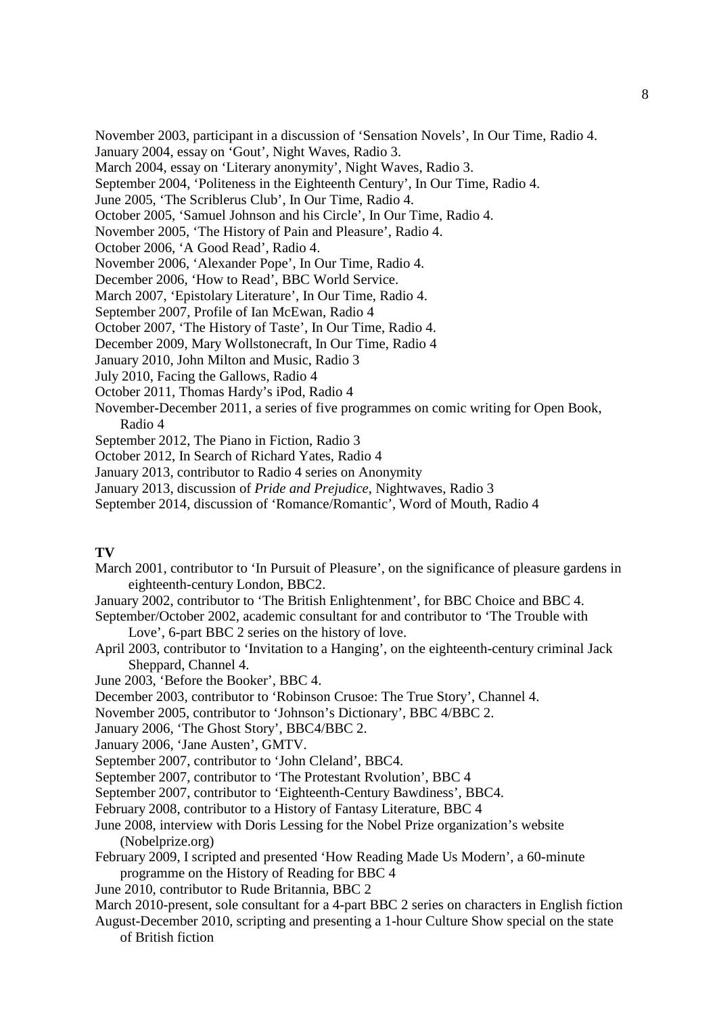November 2003, participant in a discussion of 'Sensation Novels', In Our Time, Radio 4.

January 2004, essay on 'Gout', Night Waves, Radio 3.

March 2004, essay on 'Literary anonymity', Night Waves, Radio 3.

September 2004, 'Politeness in the Eighteenth Century', In Our Time, Radio 4.

June 2005, 'The Scriblerus Club', In Our Time, Radio 4.

October 2005, 'Samuel Johnson and his Circle', In Our Time, Radio 4.

November 2005, 'The History of Pain and Pleasure', Radio 4.

October 2006, 'A Good Read', Radio 4.

November 2006, 'Alexander Pope', In Our Time, Radio 4.

December 2006, 'How to Read', BBC World Service.

March 2007, 'Epistolary Literature', In Our Time, Radio 4.

September 2007, Profile of Ian McEwan, Radio 4

October 2007, 'The History of Taste', In Our Time, Radio 4.

December 2009, Mary Wollstonecraft, In Our Time, Radio 4

January 2010, John Milton and Music, Radio 3

July 2010, Facing the Gallows, Radio 4

October 2011, Thomas Hardy's iPod, Radio 4

November-December 2011, a series of five programmes on comic writing for Open Book, Radio 4

September 2012, The Piano in Fiction, Radio 3

October 2012, In Search of Richard Yates, Radio 4

January 2013, contributor to Radio 4 series on Anonymity

January 2013, discussion of *Pride and Prejudice*, Nightwaves, Radio 3

September 2014, discussion of 'Romance/Romantic', Word of Mouth, Radio 4

## **TV**

- March 2001, contributor to 'In Pursuit of Pleasure', on the significance of pleasure gardens in eighteenth-century London, BBC2.
- January 2002, contributor to 'The British Enlightenment', for BBC Choice and BBC 4.

September/October 2002, academic consultant for and contributor to 'The Trouble with Love', 6-part BBC 2 series on the history of love.

April 2003, contributor to 'Invitation to a Hanging', on the eighteenth-century criminal Jack Sheppard, Channel 4.

June 2003, 'Before the Booker', BBC 4.

December 2003, contributor to 'Robinson Crusoe: The True Story', Channel 4.

November 2005, contributor to 'Johnson's Dictionary', BBC 4/BBC 2.

January 2006, 'The Ghost Story', BBC4/BBC 2.

January 2006, 'Jane Austen', GMTV.

September 2007, contributor to 'John Cleland', BBC4.

September 2007, contributor to 'The Protestant Rvolution', BBC 4

September 2007, contributor to 'Eighteenth-Century Bawdiness', BBC4.

February 2008, contributor to a History of Fantasy Literature, BBC 4

- June 2008, interview with Doris Lessing for the Nobel Prize organization's website (Nobelprize.org)
- February 2009, I scripted and presented 'How Reading Made Us Modern', a 60-minute programme on the History of Reading for BBC 4

June 2010, contributor to Rude Britannia, BBC 2

March 2010-present, sole consultant for a 4-part BBC 2 series on characters in English fiction

August-December 2010, scripting and presenting a 1-hour Culture Show special on the state of British fiction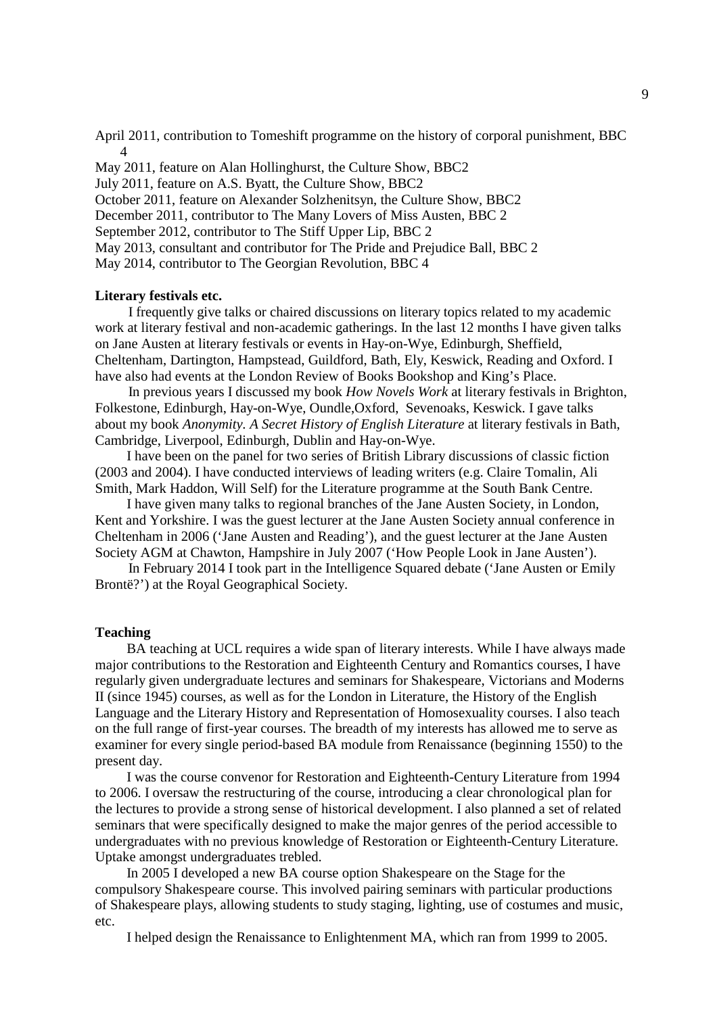April 2011, contribution to Tomeshift programme on the history of corporal punishment, BBC 4

May 2011, feature on Alan Hollinghurst, the Culture Show, BBC2 July 2011, feature on A.S. Byatt, the Culture Show, BBC2 October 2011, feature on Alexander Solzhenitsyn, the Culture Show, BBC2 December 2011, contributor to The Many Lovers of Miss Austen, BBC 2 September 2012, contributor to The Stiff Upper Lip, BBC 2 May 2013, consultant and contributor for The Pride and Prejudice Ball, BBC 2 May 2014, contributor to The Georgian Revolution, BBC 4

#### **Literary festivals etc.**

 I frequently give talks or chaired discussions on literary topics related to my academic work at literary festival and non-academic gatherings. In the last 12 months I have given talks on Jane Austen at literary festivals or events in Hay-on-Wye, Edinburgh, Sheffield, Cheltenham, Dartington, Hampstead, Guildford, Bath, Ely, Keswick, Reading and Oxford. I have also had events at the London Review of Books Bookshop and King's Place.

 In previous years I discussed my book *How Novels Work* at literary festivals in Brighton, Folkestone, Edinburgh, Hay-on-Wye, Oundle,Oxford, Sevenoaks, Keswick. I gave talks about my book *Anonymity. A Secret History of English Literature* at literary festivals in Bath, Cambridge, Liverpool, Edinburgh, Dublin and Hay-on-Wye.

 I have been on the panel for two series of British Library discussions of classic fiction (2003 and 2004). I have conducted interviews of leading writers (e.g. Claire Tomalin, Ali Smith, Mark Haddon, Will Self) for the Literature programme at the South Bank Centre.

 I have given many talks to regional branches of the Jane Austen Society, in London, Kent and Yorkshire. I was the guest lecturer at the Jane Austen Society annual conference in Cheltenham in 2006 ('Jane Austen and Reading'), and the guest lecturer at the Jane Austen Society AGM at Chawton, Hampshire in July 2007 ('How People Look in Jane Austen').

 In February 2014 I took part in the Intelligence Squared debate ('Jane Austen or Emily Brontë?') at the Royal Geographical Society.

#### **Teaching**

 BA teaching at UCL requires a wide span of literary interests. While I have always made major contributions to the Restoration and Eighteenth Century and Romantics courses, I have regularly given undergraduate lectures and seminars for Shakespeare, Victorians and Moderns II (since 1945) courses, as well as for the London in Literature, the History of the English Language and the Literary History and Representation of Homosexuality courses. I also teach on the full range of first-year courses. The breadth of my interests has allowed me to serve as examiner for every single period-based BA module from Renaissance (beginning 1550) to the present day.

 I was the course convenor for Restoration and Eighteenth-Century Literature from 1994 to 2006. I oversaw the restructuring of the course, introducing a clear chronological plan for the lectures to provide a strong sense of historical development. I also planned a set of related seminars that were specifically designed to make the major genres of the period accessible to undergraduates with no previous knowledge of Restoration or Eighteenth-Century Literature. Uptake amongst undergraduates trebled.

 In 2005 I developed a new BA course option Shakespeare on the Stage for the compulsory Shakespeare course. This involved pairing seminars with particular productions of Shakespeare plays, allowing students to study staging, lighting, use of costumes and music, etc.

I helped design the Renaissance to Enlightenment MA, which ran from 1999 to 2005.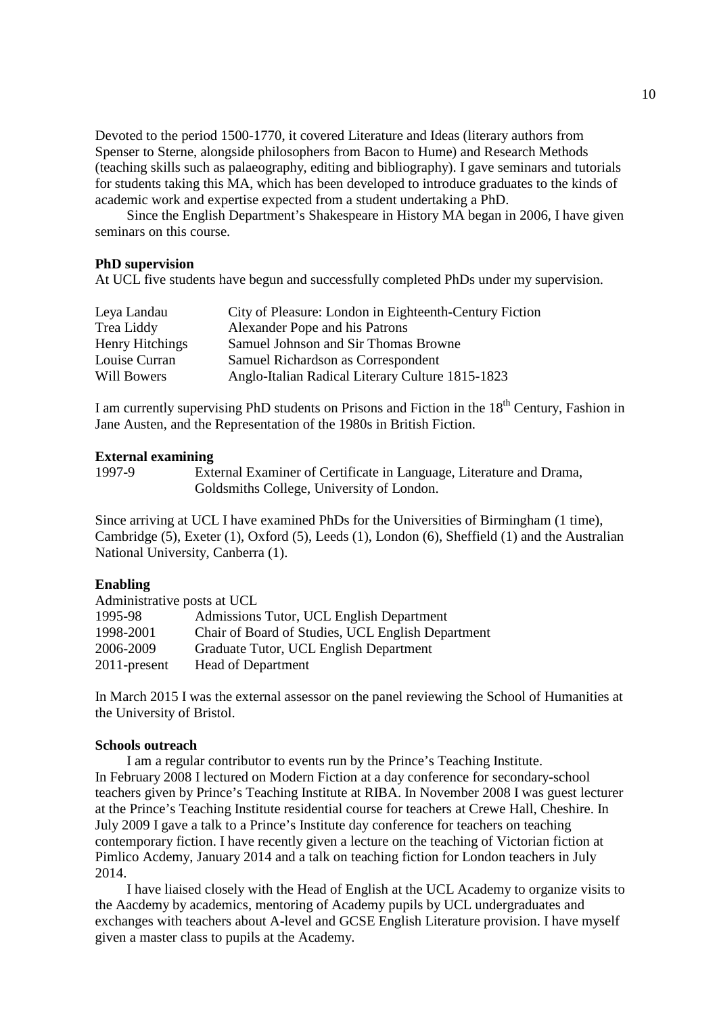Devoted to the period 1500-1770, it covered Literature and Ideas (literary authors from Spenser to Sterne, alongside philosophers from Bacon to Hume) and Research Methods (teaching skills such as palaeography, editing and bibliography). I gave seminars and tutorials for students taking this MA, which has been developed to introduce graduates to the kinds of academic work and expertise expected from a student undertaking a PhD.

 Since the English Department's Shakespeare in History MA began in 2006, I have given seminars on this course.

#### **PhD supervision**

At UCL five students have begun and successfully completed PhDs under my supervision.

| Leya Landau            | City of Pleasure: London in Eighteenth-Century Fiction |
|------------------------|--------------------------------------------------------|
| Trea Liddy             | Alexander Pope and his Patrons                         |
| <b>Henry Hitchings</b> | Samuel Johnson and Sir Thomas Browne                   |
| Louise Curran          | Samuel Richardson as Correspondent                     |
| Will Bowers            | Anglo-Italian Radical Literary Culture 1815-1823       |
|                        |                                                        |

I am currently supervising PhD students on Prisons and Fiction in the 18<sup>th</sup> Century, Fashion in Jane Austen, and the Representation of the 1980s in British Fiction.

# **External examining**

External Examiner of Certificate in Language, Literature and Drama, Goldsmiths College, University of London.

Since arriving at UCL I have examined PhDs for the Universities of Birmingham (1 time), Cambridge (5), Exeter (1), Oxford (5), Leeds (1), London (6), Sheffield (1) and the Australian National University, Canberra (1).

#### **Enabling**

| Administrative posts at UCL |                                                   |  |  |  |
|-----------------------------|---------------------------------------------------|--|--|--|
| 1995-98                     | Admissions Tutor, UCL English Department          |  |  |  |
| 1998-2001                   | Chair of Board of Studies, UCL English Department |  |  |  |
| 2006-2009                   | Graduate Tutor, UCL English Department            |  |  |  |
| $2011$ -present             | <b>Head of Department</b>                         |  |  |  |

In March 2015 I was the external assessor on the panel reviewing the School of Humanities at the University of Bristol.

# **Schools outreach**

 I am a regular contributor to events run by the Prince's Teaching Institute. In February 2008 I lectured on Modern Fiction at a day conference for secondary-school teachers given by Prince's Teaching Institute at RIBA. In November 2008 I was guest lecturer at the Prince's Teaching Institute residential course for teachers at Crewe Hall, Cheshire. In July 2009 I gave a talk to a Prince's Institute day conference for teachers on teaching contemporary fiction. I have recently given a lecture on the teaching of Victorian fiction at Pimlico Acdemy, January 2014 and a talk on teaching fiction for London teachers in July 2014.

 I have liaised closely with the Head of English at the UCL Academy to organize visits to the Aacdemy by academics, mentoring of Academy pupils by UCL undergraduates and exchanges with teachers about A-level and GCSE English Literature provision. I have myself given a master class to pupils at the Academy.